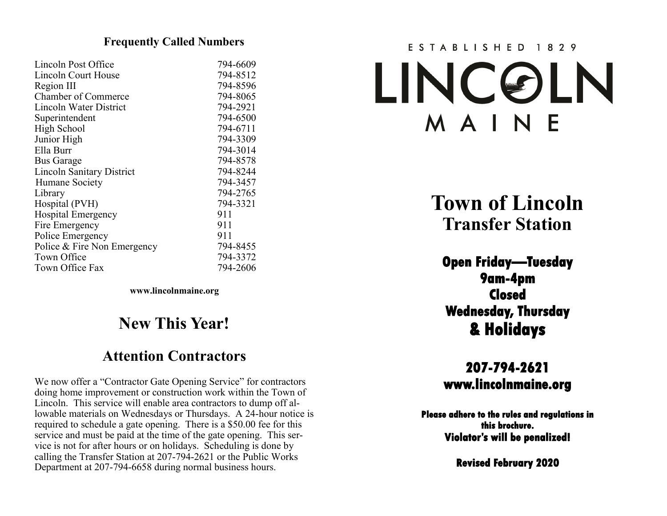#### **Frequently Called Numbers**

| Lincoln Post Office              | 794-6609 |
|----------------------------------|----------|
| Lincoln Court House              | 794-8512 |
| Region III                       | 794-8596 |
| <b>Chamber of Commerce</b>       | 794-8065 |
| Lincoln Water District           | 794-2921 |
| Superintendent                   | 794-6500 |
| <b>High School</b>               | 794-6711 |
| Junior High                      | 794-3309 |
| Ella Burr                        | 794-3014 |
| <b>Bus Garage</b>                | 794-8578 |
| <b>Lincoln Sanitary District</b> | 794-8244 |
| Humane Society                   | 794-3457 |
| Library                          | 794-2765 |
| Hospital (PVH)                   | 794-3321 |
| <b>Hospital Emergency</b>        | 911      |
| Fire Emergency                   | 911      |
| Police Emergency                 | 911      |
| Police & Fire Non Emergency      | 794-8455 |
| Town Office                      | 794-3372 |
| Town Office Fax                  | 794-2606 |

**www.lincolnmaine.org**

# **New This Year!**

# **Attention Contractors**

We now offer a "Contractor Gate Opening Service" for contractors doing home improvement or construction work within the Town of Lincoln. This service will enable area contractors to dump off allowable materials on Wednesdays or Thursdays. A 24-hour notice is required to schedule a gate opening. There is a \$50.00 fee for this service and must be paid at the time of the gate opening. This service is not for after hours or on holidays. Scheduling is done by calling the Transfer Station at 207-794-2621 or the Public Works Department at 207-794-6658 during normal business hours.

# ESTABLISHED 1829 LINCOLN MAINE

**Town of Lincoln Transfer Station**

**Open Friday—Tuesday 9am-4pm Closed Wednesday, Thursday & Holidays** 

**207-794-2621 www.lincolnmaine.org** 

**Please adhere to the rules and regulations in this brochure. Violator's will be penalized!** 

**Revised February 2020**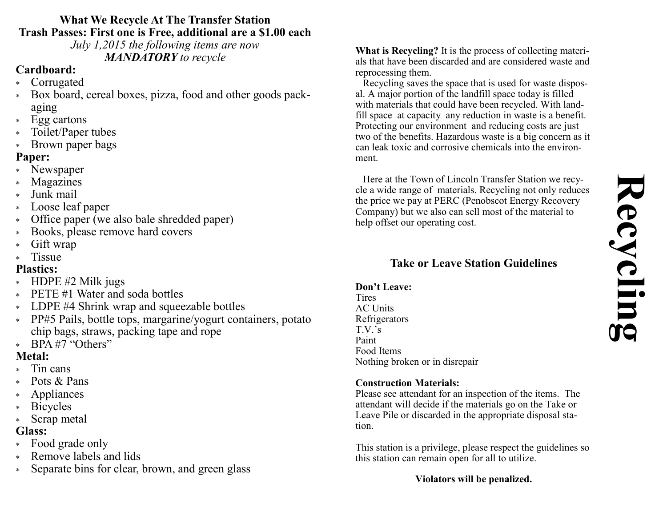# **Recycling**

#### **What We Recycle At The Transfer Station Trash Passes: First one is Free, additional are a \$1.00 each**

*July 1,2015 the following items are now MANDATORY to recycle*

# **Cardboard:**

- Corrugated
- Box board, cereal boxes, pizza, food and other goods packaging
- \* Egg cartons
- Toilet/Paper tubes
- \* Brown paper bags

# **Paper:**

- Newspaper
- Magazines
- Junk mail
- Loose leaf paper
- Office paper (we also bale shredded paper)
- Books, please remove hard covers
- Gift wrap
- **Tissue**

# **Plastics:**

- \* HDPE #2 Milk jugs
- PETE #1 Water and soda bottles
- \* LDPE #4 Shrink wrap and squeezable bottles
- PP#5 Pails, bottle tops, margarine/yogurt containers, potato chip bags, straws, packing tape and rope
- \* BPA #7 "Others"

# **Metal:**

- Tin cans
- Pots & Pans
- Appliances
- Bicycles
- Scrap metal

# **Glass:**

- Food grade only
- Remove labels and lids
- Separate bins for clear, brown, and green glass

**What is Recycling?** It is the process of collecting materials that have been discarded and are considered waste and reprocessing them.

 Recycling saves the space that is used for waste disposal. A major portion of the landfill space today is filled with materials that could have been recycled. With landfill space at capacity any reduction in waste is a benefit. Protecting our environment and reducing costs are just two of the benefits. Hazardous waste is a big concern as it can leak toxic and corrosive chemicals into the environment.

 Here at the Town of Lincoln Transfer Station we recycle a wide range of materials. Recycling not only reduces the price we pay at PERC (Penobscot Energy Recovery Company) but we also can sell most of the material to help offset our operating cost.

# **Take or Leave Station Guidelines**

#### **Don't Leave:**

Tires AC Units Refrigerators T.V.'s Paint Food Items Nothing broken or in disrepair

#### **Construction Materials:**

Please see attendant for an inspection of the items. The attendant will decide if the materials go on the Take or Leave Pile or discarded in the appropriate disposal station.

This station is a privilege, please respect the guidelines so this station can remain open for all to utilize.

# **Violators will be penalized.**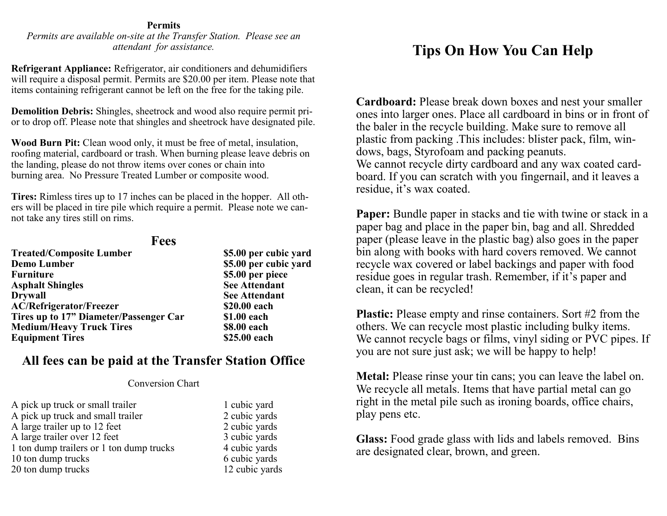#### **Permits**

*Permits are available on-site at the Transfer Station. Please see an attendant for assistance.*

**Refrigerant Appliance:** Refrigerator, air conditioners and dehumidifiers will require a disposal permit. Permits are \$20.00 per item. Please note that items containing refrigerant cannot be left on the free for the taking pile.

**Demolition Debris:** Shingles, sheetrock and wood also require permit prior to drop off. Please note that shingles and sheetrock have designated pile.

**Wood Burn Pit:** Clean wood only, it must be free of metal, insulation, roofing material, cardboard or trash. When burning please leave debris on the landing, please do not throw items over cones or chain into burning area. No Pressure Treated Lumber or composite wood.

**Tires:** Rimless tires up to 17 inches can be placed in the hopper. All others will be placed in tire pile which require a permit. Please note we cannot take any tires still on rims.

#### **Fees**

| <b>Treated/Composite Lumber</b>        | \$5.00 per cubic yard |
|----------------------------------------|-----------------------|
| <b>Demo Lumber</b>                     | \$5.00 per cubic yard |
| <b>Furniture</b>                       | \$5.00 per piece      |
| <b>Asphalt Shingles</b>                | <b>See Attendant</b>  |
| <b>Drywall</b>                         | <b>See Attendant</b>  |
| <b>AC/Refrigerator/Freezer</b>         | \$20.00 each          |
| Tires up to 17" Diameter/Passenger Car | \$1.00 each           |
| <b>Medium/Heavy Truck Tires</b>        | \$8.00 each           |
| <b>Equipment Tires</b>                 | \$25.00 each          |
|                                        |                       |

#### **All fees can be paid at the Transfer Station Office**

#### Conversion Chart

A pick up truck or small trailer 1 cubic yard A pick up truck and small trailer 2 cubic yards A large trailer up to 12 feet 2 cubic yards A large trailer over 12 feet 3 cubic yards 1 ton dump trailers or 1 ton dump trucks 4 cubic yards 10 ton dump trucks 6 cubic yards 20 ton dump trucks 12 cubic yards

# **Tips On How You Can Help**

**Cardboard:** Please break down boxes and nest your smaller ones into larger ones. Place all cardboard in bins or in front of the baler in the recycle building. Make sure to remove all plastic from packing .This includes: blister pack, film, windows, bags, Styrofoam and packing peanuts. We cannot recycle dirty cardboard and any wax coated cardboard. If you can scratch with you fingernail, and it leaves a residue, it's wax coated.

**Paper:** Bundle paper in stacks and tie with twine or stack in a paper bag and place in the paper bin, bag and all. Shredded paper (please leave in the plastic bag) also goes in the paper bin along with books with hard covers removed. We cannot recycle wax covered or label backings and paper with food residue goes in regular trash. Remember, if it's paper and clean, it can be recycled!

**Plastic:** Please empty and rinse containers. Sort #2 from the others. We can recycle most plastic including bulky items. We cannot recycle bags or films, vinyl siding or PVC pipes. If you are not sure just ask; we will be happy to help!

**Metal:** Please rinse your tin cans; you can leave the label on. We recycle all metals. Items that have partial metal can go right in the metal pile such as ironing boards, office chairs, play pens etc.

**Glass:** Food grade glass with lids and labels removed. Bins are designated clear, brown, and green.